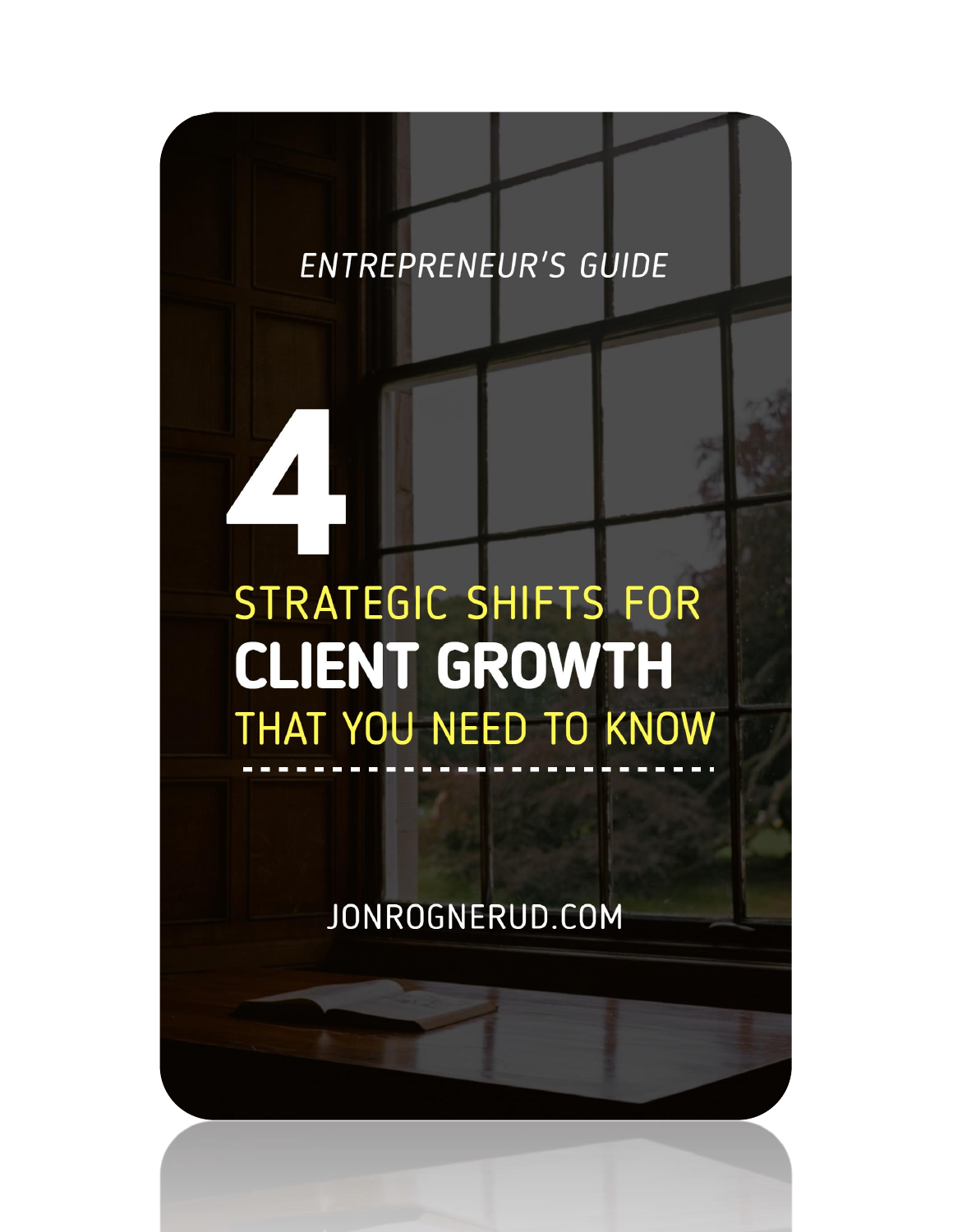## **ENTREPRENEUR'S GUIDE**

# STRATEGIC SHIFTS FOR **CLIENT GROWTH** THAT YOU NEED TO KNOW

JONROGNERUD.COM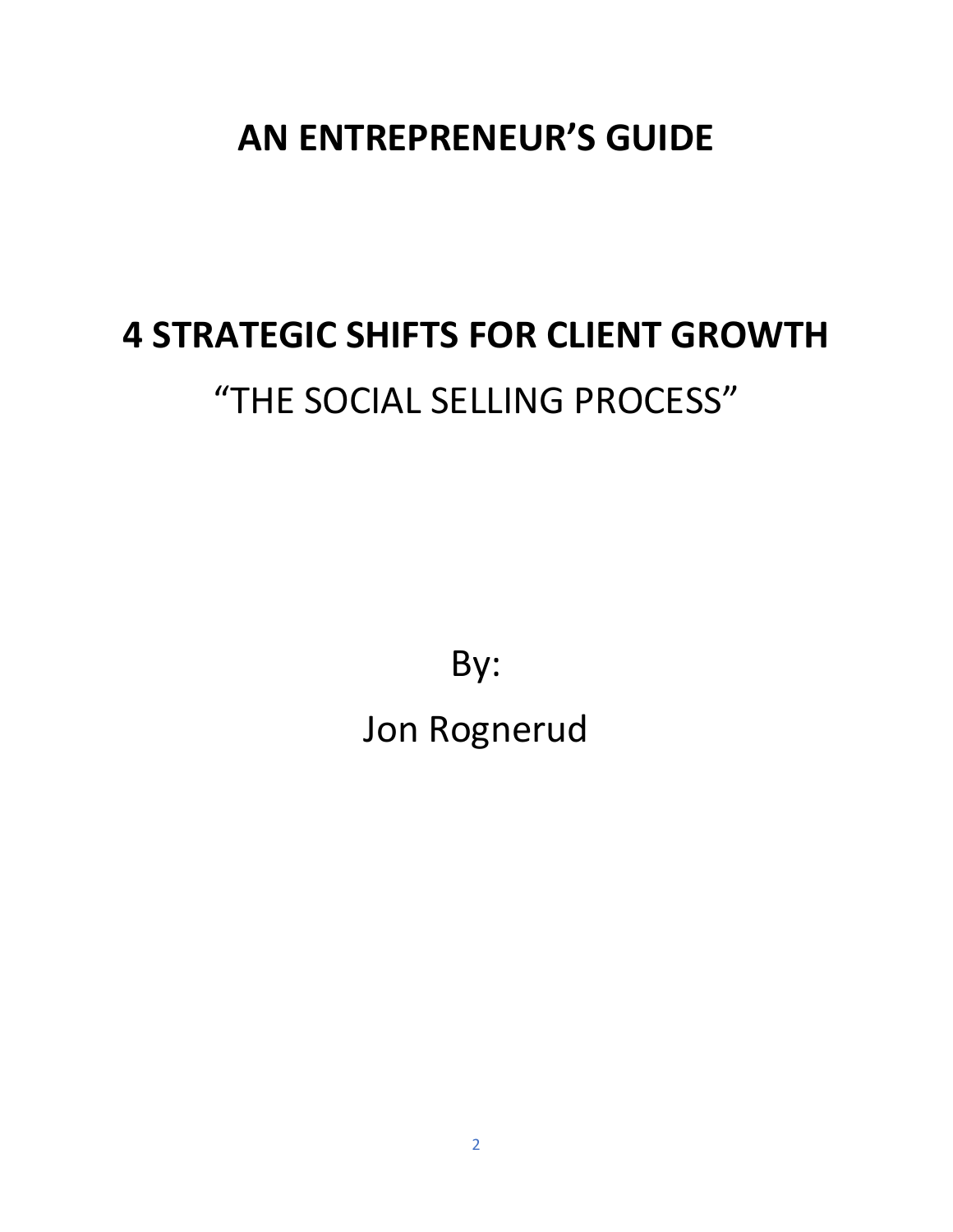## **AN ENTREPRENEUR'S GUIDE**

## **4 STRATEGIC SHIFTS FOR CLIENT GROWTH** "THE SOCIAL SELLING PROCESS"

By: Jon Rognerud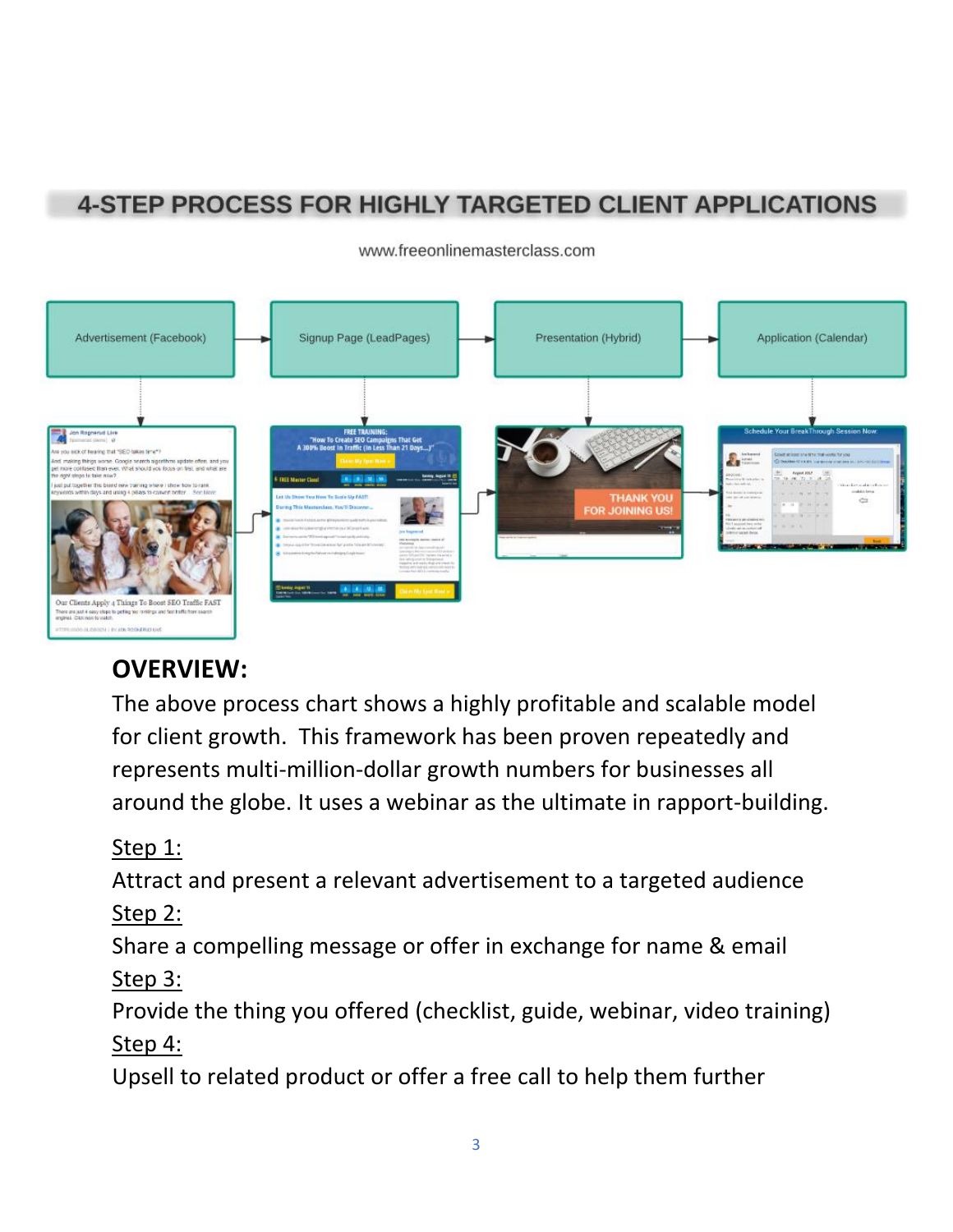## **4-STEP PROCESS FOR HIGHLY TARGETED CLIENT APPLICATIONS**



#### www.freeonlinemasterclass.com

## **OVERVIEW:**

The above process chart shows a highly profitable and scalable model for client growth. This framework has been proven repeatedly and represents multi-million-dollar growth numbers for businesses all around the globe. It uses a webinar as the ultimate in rapport-building.

## Step 1:

Attract and present a relevant advertisement to a targeted audience Step 2:

Share a compelling message or offer in exchange for name & email Step 3:

Provide the thing you offered (checklist, guide, webinar, video training) Step 4:

Upsell to related product or offer a free call to help them further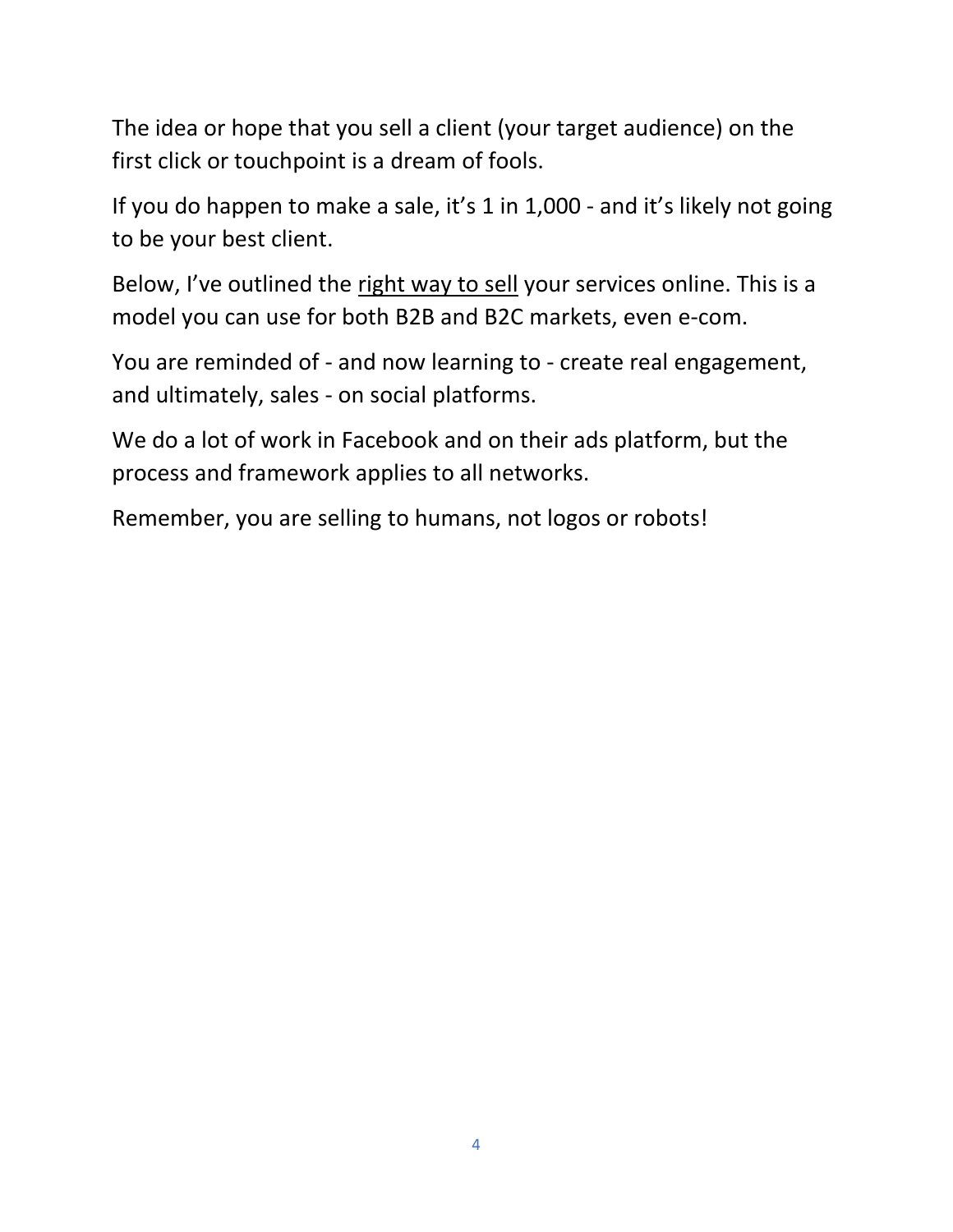The idea or hope that you sell a client (your target audience) on the first click or touchpoint is a dream of fools.

If you do happen to make a sale, it's 1 in 1,000 - and it's likely not going to be your best client.

Below, I've outlined the right way to sell your services online. This is a model you can use for both B2B and B2C markets, even e-com.

You are reminded of - and now learning to - create real engagement, and ultimately, sales - on social platforms.

We do a lot of work in Facebook and on their ads platform, but the process and framework applies to all networks.

Remember, you are selling to humans, not logos or robots!